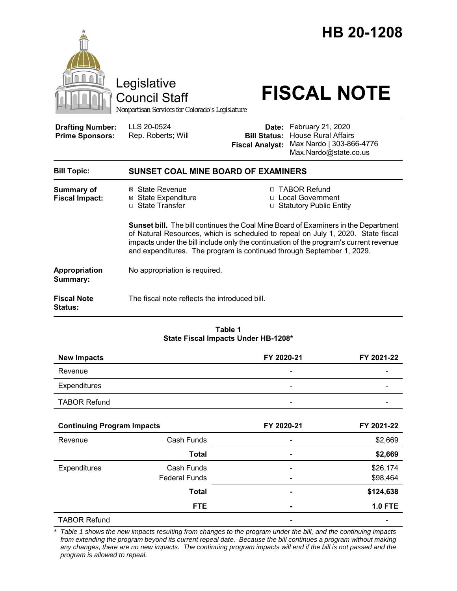|                                                                                                                                                                                                                                                                                                                                          | Legislative<br><b>Council Staff</b><br>Nonpartisan Services for Colorado's Legislature |                                                        | HB 20-1208<br><b>FISCAL NOTE</b>                                                                     |  |  |
|------------------------------------------------------------------------------------------------------------------------------------------------------------------------------------------------------------------------------------------------------------------------------------------------------------------------------------------|----------------------------------------------------------------------------------------|--------------------------------------------------------|------------------------------------------------------------------------------------------------------|--|--|
| <b>Drafting Number:</b><br><b>Prime Sponsors:</b>                                                                                                                                                                                                                                                                                        | LLS 20-0524<br>Rep. Roberts; Will                                                      | Date:<br><b>Bill Status:</b><br><b>Fiscal Analyst:</b> | February 21, 2020<br><b>House Rural Affairs</b><br>Max Nardo   303-866-4776<br>Max.Nardo@state.co.us |  |  |
| <b>Bill Topic:</b>                                                                                                                                                                                                                                                                                                                       | SUNSET COAL MINE BOARD OF EXAMINERS                                                    |                                                        |                                                                                                      |  |  |
| <b>Summary of</b><br><b>Fiscal Impact:</b>                                                                                                                                                                                                                                                                                               | ⊠ State Revenue<br><b>⊠</b> State Expenditure<br>□ State Transfer                      |                                                        | □ TABOR Refund<br>□ Local Government<br>□ Statutory Public Entity                                    |  |  |
| Sunset bill. The bill continues the Coal Mine Board of Examiners in the Department<br>of Natural Resources, which is scheduled to repeal on July 1, 2020. State fiscal<br>impacts under the bill include only the continuation of the program's current revenue<br>and expenditures. The program is continued through September 1, 2029. |                                                                                        |                                                        |                                                                                                      |  |  |
| Appropriation<br>Summary:                                                                                                                                                                                                                                                                                                                | No appropriation is required.                                                          |                                                        |                                                                                                      |  |  |
| <b>Fiscal Note</b><br>Status:                                                                                                                                                                                                                                                                                                            | The fiscal note reflects the introduced bill.                                          |                                                        |                                                                                                      |  |  |
| Table 1                                                                                                                                                                                                                                                                                                                                  |                                                                                        |                                                        |                                                                                                      |  |  |

# **State Fiscal Impacts Under HB-1208\***

| <b>New Impacts</b>  | FY 2020-21               | FY 2021-22               |
|---------------------|--------------------------|--------------------------|
| Revenue             | -                        | -                        |
| Expenditures        | $\overline{\phantom{0}}$ | -                        |
| <b>TABOR Refund</b> | $\overline{\phantom{0}}$ | $\overline{\phantom{a}}$ |

| <b>Continuing Program Impacts</b> |                      | FY 2020-21                   | FY 2021-22     |
|-----------------------------------|----------------------|------------------------------|----------------|
| Revenue                           | Cash Funds           |                              | \$2,669        |
|                                   | <b>Total</b>         |                              | \$2,669        |
| <b>Expenditures</b>               | Cash Funds           |                              | \$26,174       |
|                                   | <b>Federal Funds</b> | $\qquad \qquad \blacksquare$ | \$98,464       |
|                                   | <b>Total</b>         |                              | \$124,638      |
|                                   | <b>FTE</b>           | ۰                            | <b>1.0 FTE</b> |
| <b>TABOR Refund</b>               |                      |                              |                |

*\* Table 1 shows the new impacts resulting from changes to the program under the bill, and the continuing impacts from extending the program beyond its current repeal date. Because the bill continues a program without making any changes, there are no new impacts. The continuing program impacts will end if the bill is not passed and the program is allowed to repeal.*